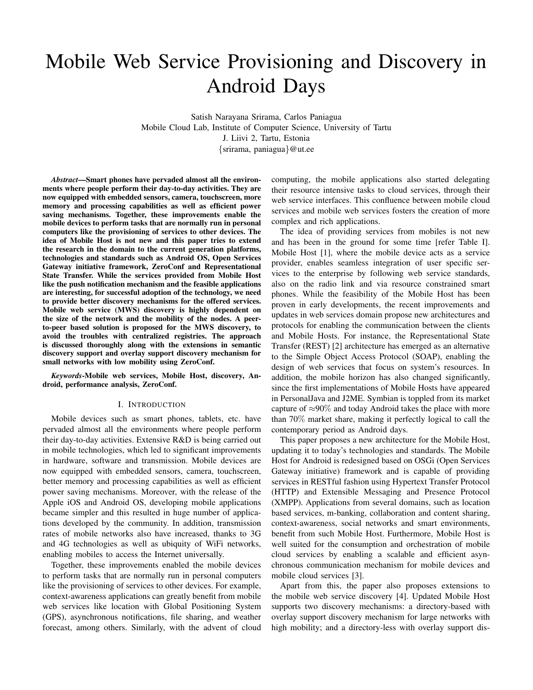# Mobile Web Service Provisioning and Discovery in Android Days

Satish Narayana Srirama, Carlos Paniagua Mobile Cloud Lab, Institute of Computer Science, University of Tartu J. Liivi 2, Tartu, Estonia {srirama, paniagua}@ut.ee

*Abstract*—Smart phones have pervaded almost all the environments where people perform their day-to-day activities. They are now equipped with embedded sensors, camera, touchscreen, more memory and processing capabilities as well as efficient power saving mechanisms. Together, these improvements enable the mobile devices to perform tasks that are normally run in personal computers like the provisioning of services to other devices. The idea of Mobile Host is not new and this paper tries to extend the research in the domain to the current generation platforms, technologies and standards such as Android OS, Open Services Gateway initiative framework, ZeroConf and Representational State Transfer. While the services provided from Mobile Host like the push notification mechanism and the feasible applications are interesting, for successful adoption of the technology, we need to provide better discovery mechanisms for the offered services. Mobile web service (MWS) discovery is highly dependent on the size of the network and the mobility of the nodes. A peerto-peer based solution is proposed for the MWS discovery, to avoid the troubles with centralized registries. The approach is discussed thoroughly along with the extensions in semantic discovery support and overlay support discovery mechanism for small networks with low mobility using ZeroConf.

*Keywords*-Mobile web services, Mobile Host, discovery, Android, performance analysis, ZeroConf.

# I. INTRODUCTION

Mobile devices such as smart phones, tablets, etc. have pervaded almost all the environments where people perform their day-to-day activities. Extensive R&D is being carried out in mobile technologies, which led to significant improvements in hardware, software and transmission. Mobile devices are now equipped with embedded sensors, camera, touchscreen, better memory and processing capabilities as well as efficient power saving mechanisms. Moreover, with the release of the Apple iOS and Android OS, developing mobile applications became simpler and this resulted in huge number of applications developed by the community. In addition, transmission rates of mobile networks also have increased, thanks to 3G and 4G technologies as well as ubiquity of WiFi networks, enabling mobiles to access the Internet universally.

Together, these improvements enabled the mobile devices to perform tasks that are normally run in personal computers like the provisioning of services to other devices. For example, context-awareness applications can greatly benefit from mobile web services like location with Global Positioning System (GPS), asynchronous notifications, file sharing, and weather forecast, among others. Similarly, with the advent of cloud computing, the mobile applications also started delegating their resource intensive tasks to cloud services, through their web service interfaces. This confluence between mobile cloud services and mobile web services fosters the creation of more complex and rich applications.

The idea of providing services from mobiles is not new and has been in the ground for some time [refer Table I]. Mobile Host [1], where the mobile device acts as a service provider, enables seamless integration of user specific services to the enterprise by following web service standards, also on the radio link and via resource constrained smart phones. While the feasibility of the Mobile Host has been proven in early developments, the recent improvements and updates in web services domain propose new architectures and protocols for enabling the communication between the clients and Mobile Hosts. For instance, the Representational State Transfer (REST) [2] architecture has emerged as an alternative to the Simple Object Access Protocol (SOAP), enabling the design of web services that focus on system's resources. In addition, the mobile horizon has also changed significantly, since the first implementations of Mobile Hosts have appeared in PersonalJava and J2ME. Symbian is toppled from its market capture of  $\approx 90\%$  and today Android takes the place with more than 70% market share, making it perfectly logical to call the contemporary period as Android days.

This paper proposes a new architecture for the Mobile Host, updating it to today's technologies and standards. The Mobile Host for Android is redesigned based on OSGi (Open Services Gateway initiative) framework and is capable of providing services in RESTful fashion using Hypertext Transfer Protocol (HTTP) and Extensible Messaging and Presence Protocol (XMPP). Applications from several domains, such as location based services, m-banking, collaboration and content sharing, context-awareness, social networks and smart environments, benefit from such Mobile Host. Furthermore, Mobile Host is well suited for the consumption and orchestration of mobile cloud services by enabling a scalable and efficient asynchronous communication mechanism for mobile devices and mobile cloud services [3].

Apart from this, the paper also proposes extensions to the mobile web service discovery [4]. Updated Mobile Host supports two discovery mechanisms: a directory-based with overlay support discovery mechanism for large networks with high mobility; and a directory-less with overlay support dis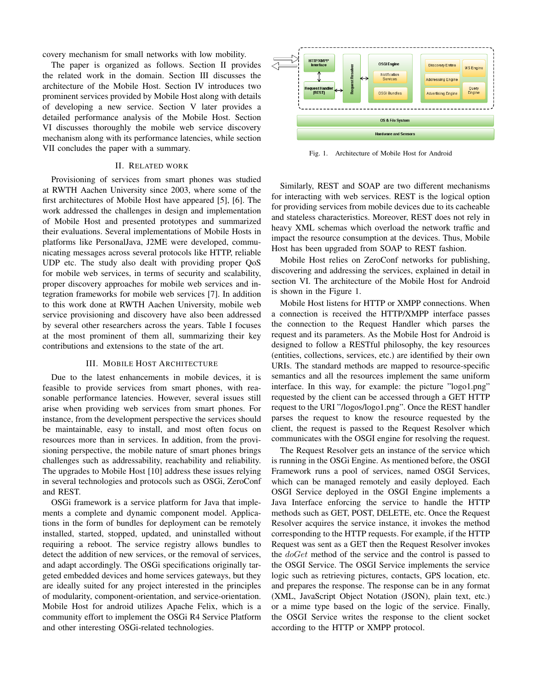covery mechanism for small networks with low mobility.

The paper is organized as follows. Section II provides the related work in the domain. Section III discusses the architecture of the Mobile Host. Section IV introduces two prominent services provided by Mobile Host along with details of developing a new service. Section V later provides a detailed performance analysis of the Mobile Host. Section VI discusses thoroughly the mobile web service discovery mechanism along with its performance latencies, while section VII concludes the paper with a summary.

#### II. RELATED WORK

Provisioning of services from smart phones was studied at RWTH Aachen University since 2003, where some of the first architectures of Mobile Host have appeared [5], [6]. The work addressed the challenges in design and implementation of Mobile Host and presented prototypes and summarized their evaluations. Several implementations of Mobile Hosts in platforms like PersonalJava, J2ME were developed, communicating messages across several protocols like HTTP, reliable UDP etc. The study also dealt with providing proper QoS for mobile web services, in terms of security and scalability, proper discovery approaches for mobile web services and integration frameworks for mobile web services [7]. In addition to this work done at RWTH Aachen University, mobile web service provisioning and discovery have also been addressed by several other researchers across the years. Table I focuses at the most prominent of them all, summarizing their key contributions and extensions to the state of the art.

## III. MOBILE HOST ARCHITECTURE

Due to the latest enhancements in mobile devices, it is feasible to provide services from smart phones, with reasonable performance latencies. However, several issues still arise when providing web services from smart phones. For instance, from the development perspective the services should be maintainable, easy to install, and most often focus on resources more than in services. In addition, from the provisioning perspective, the mobile nature of smart phones brings challenges such as addressability, reachability and reliability. The upgrades to Mobile Host [10] address these issues relying in several technologies and protocols such as OSGi, ZeroConf and REST.

OSGi framework is a service platform for Java that implements a complete and dynamic component model. Applications in the form of bundles for deployment can be remotely installed, started, stopped, updated, and uninstalled without requiring a reboot. The service registry allows bundles to detect the addition of new services, or the removal of services, and adapt accordingly. The OSGi specifications originally targeted embedded devices and home services gateways, but they are ideally suited for any project interested in the principles of modularity, component-orientation, and service-orientation. Mobile Host for android utilizes Apache Felix, which is a community effort to implement the OSGi R4 Service Platform and other interesting OSGi-related technologies.



Fig. 1. Architecture of Mobile Host for Android

Similarly, REST and SOAP are two different mechanisms for interacting with web services. REST is the logical option for providing services from mobile devices due to its cacheable and stateless characteristics. Moreover, REST does not rely in heavy XML schemas which overload the network traffic and impact the resource consumption at the devices. Thus, Mobile Host has been upgraded from SOAP to REST fashion.

Mobile Host relies on ZeroConf networks for publishing, discovering and addressing the services, explained in detail in section VI. The architecture of the Mobile Host for Android is shown in the Figure 1.

Mobile Host listens for HTTP or XMPP connections. When a connection is received the HTTP/XMPP interface passes the connection to the Request Handler which parses the request and its parameters. As the Mobile Host for Android is designed to follow a RESTful philosophy, the key resources (entities, collections, services, etc.) are identified by their own URIs. The standard methods are mapped to resource-specific semantics and all the resources implement the same uniform interface. In this way, for example: the picture "logo1.png" requested by the client can be accessed through a GET HTTP request to the URI "/logos/logo1.png". Once the REST handler parses the request to know the resource requested by the client, the request is passed to the Request Resolver which communicates with the OSGI engine for resolving the request.

The Request Resolver gets an instance of the service which is running in the OSGi Engine. As mentioned before, the OSGI Framework runs a pool of services, named OSGI Services, which can be managed remotely and easily deployed. Each OSGI Service deployed in the OSGI Engine implements a Java Interface enforcing the service to handle the HTTP methods such as GET, POST, DELETE, etc. Once the Request Resolver acquires the service instance, it invokes the method corresponding to the HTTP requests. For example, if the HTTP Request was sent as a GET then the Request Resolver invokes the *doGet* method of the service and the control is passed to the OSGI Service. The OSGI Service implements the service logic such as retrieving pictures, contacts, GPS location, etc. and prepares the response. The response can be in any format (XML, JavaScript Object Notation (JSON), plain text, etc.) or a mime type based on the logic of the service. Finally, the OSGI Service writes the response to the client socket according to the HTTP or XMPP protocol.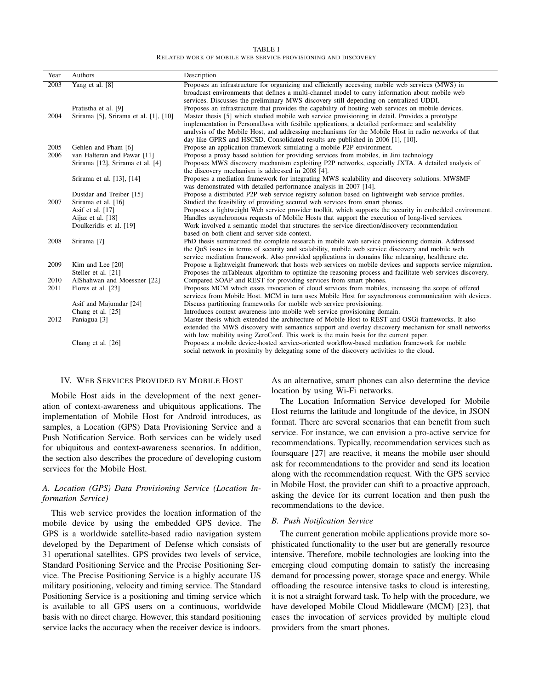TABLE I RELATED WORK OF MOBILE WEB SERVICE PROVISIONING AND DISCOVERY

| Year | <b>Authors</b>                        | Description                                                                                               |
|------|---------------------------------------|-----------------------------------------------------------------------------------------------------------|
| 2003 | Yang et al. [8]                       | Proposes an infrastructure for organizing and efficiently accessing mobile web services (MWS) in          |
|      |                                       | broadcast environments that defines a multi-channel model to carry information about mobile web           |
|      |                                       | services. Discusses the preliminary MWS discovery still depending on centralized UDDI.                    |
|      | Pratistha et al. [9]                  | Proposes an infrastructure that provides the capability of hosting web services on mobile devices.        |
| 2004 | Srirama [5], Srirama et al. [1], [10] | Master thesis [5] which studied mobile web service provisioning in detail. Provides a prototype           |
|      |                                       | implementation in Personal Java with fesibile applications, a detailed performace and scalability         |
|      |                                       | analysis of the Mobile Host, and addressing mechanisms for the Mobile Host in radio networks of that      |
|      |                                       | day like GPRS and HSCSD. Consolidated results are published in 2006 [1], [10].                            |
| 2005 | Gehlen and Pham [6]                   | Propose an application framework simulating a mobile P2P environment.                                     |
| 2006 | van Halteran and Pawar [11]           | Propose a proxy based solution for providing services from mobiles, in Jini technology                    |
|      | Srirama [12], Srirama et al. [4]      | Proposes MWS discovery mechanism exploiting P2P networks, especially JXTA. A detailed analysis of         |
|      |                                       | the discovery mechanism is addressed in 2008 [4].                                                         |
|      | Srirama et al. [13], [14]             | Proposes a mediation framework for integrating MWS scalability and discovery solutions. MWSMF             |
|      |                                       | was demonstrated with detailed performance analysis in 2007 [14].                                         |
|      | Dustdar and Treiber [15]              | Propose a distributed P2P web service registry solution based on lightweight web service profiles.        |
| 2007 | Srirama et al. [16]                   | Studied the feasibility of providing secured web services from smart phones.                              |
|      | Asif et al. [17]                      | Proposes a lightweight Web service provider toolkit, which supports the security in embedded environment. |
|      | Aijaz et al. [18]                     | Handles asynchronous requests of Mobile Hosts that support the execution of long-lived services.          |
|      | Doulkeridis et al. [19]               | Work involved a semantic model that structures the service direction/discovery recommendation             |
|      |                                       | based on both client and server-side context.                                                             |
| 2008 | Srirama <sup>[7]</sup>                | PhD thesis summarized the complete research in mobile web service provisioning domain. Addressed          |
|      |                                       | the QoS issues in terms of security and scalability, mobile web service discovery and mobile web          |
|      |                                       | service mediation framework. Also provided applications in domains like mlearning, healthcare etc.        |
| 2009 | Kim and Lee [20]                      | Propose a lightweight framework that hosts web services on mobile devices and supports service migration. |
|      | Steller et al. [21]                   | Proposes the mTableaux algorithm to optimize the reasoning process and facilitate web services discovery. |
| 2010 | AlShahwan and Moessner [22]           | Compared SOAP and REST for providing services from smart phones.                                          |
| 2011 | Flores et al. [23]                    | Proposes MCM which eases invocation of cloud services from mobiles, increasing the scope of offered       |
|      |                                       | services from Mobile Host. MCM in turn uses Mobile Host for asynchronous communication with devices.      |
|      | Asif and Majumdar [24]                | Discuss partitioning frameworks for mobile web service provisioning.                                      |
|      | Chang et al. [25]                     | Introduces context awareness into mobile web service provisioning domain.                                 |
| 2012 | Paniagua [3]                          | Master thesis which extended the architecture of Mobile Host to REST and OSGi frameworks. It also         |
|      |                                       | extended the MWS discovery with semantics support and overlay discovery mechanism for small networks      |
|      |                                       | with low mobility using ZeroConf. This work is the main basis for the current paper.                      |
|      | Chang et al. [26]                     | Proposes a mobile device-hosted service-oriented workflow-based mediation framework for mobile            |
|      |                                       | social network in proximity by delegating some of the discovery activities to the cloud.                  |

# IV. WEB SERVICES PROVIDED BY MOBILE HOST

Mobile Host aids in the development of the next generation of context-awareness and ubiquitous applications. The implementation of Mobile Host for Android introduces, as samples, a Location (GPS) Data Provisioning Service and a Push Notification Service. Both services can be widely used for ubiquitous and context-awareness scenarios. In addition, the section also describes the procedure of developing custom services for the Mobile Host.

# *A. Location (GPS) Data Provisioning Service (Location Information Service)*

This web service provides the location information of the mobile device by using the embedded GPS device. The GPS is a worldwide satellite-based radio navigation system developed by the Department of Defense which consists of 31 operational satellites. GPS provides two levels of service, Standard Positioning Service and the Precise Positioning Service. The Precise Positioning Service is a highly accurate US military positioning, velocity and timing service. The Standard Positioning Service is a positioning and timing service which is available to all GPS users on a continuous, worldwide basis with no direct charge. However, this standard positioning service lacks the accuracy when the receiver device is indoors. As an alternative, smart phones can also determine the device location by using Wi-Fi networks.

The Location Information Service developed for Mobile Host returns the latitude and longitude of the device, in JSON format. There are several scenarios that can benefit from such service. For instance, we can envision a pro-active service for recommendations. Typically, recommendation services such as foursquare [27] are reactive, it means the mobile user should ask for recommendations to the provider and send its location along with the recommendation request. With the GPS service in Mobile Host, the provider can shift to a proactive approach, asking the device for its current location and then push the recommendations to the device.

# *B. Push Notification Service*

The current generation mobile applications provide more sophisticated functionality to the user but are generally resource intensive. Therefore, mobile technologies are looking into the emerging cloud computing domain to satisfy the increasing demand for processing power, storage space and energy. While offloading the resource intensive tasks to cloud is interesting, it is not a straight forward task. To help with the procedure, we have developed Mobile Cloud Middleware (MCM) [23], that eases the invocation of services provided by multiple cloud providers from the smart phones.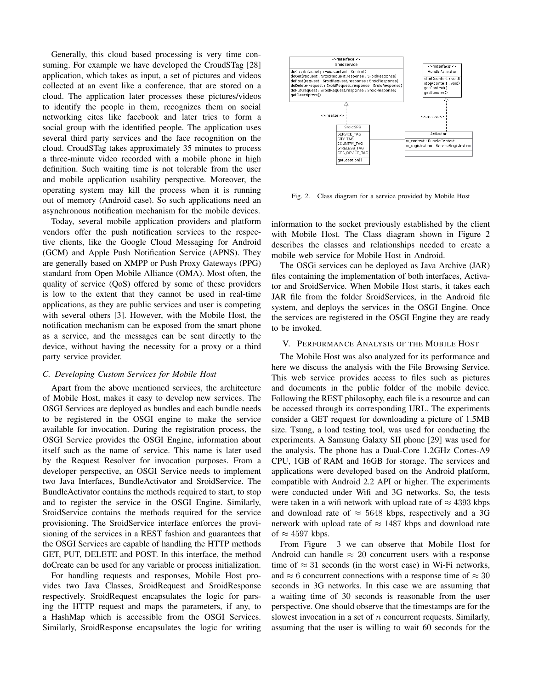Generally, this cloud based processing is very time consuming. For example we have developed the CroudSTag [28] application, which takes as input, a set of pictures and videos collected at an event like a conference, that are stored on a cloud. The application later processes these pictures/videos to identify the people in them, recognizes them on social networking cites like facebook and later tries to form a social group with the identified people. The application uses several third party services and the face recognition on the cloud. CroudSTag takes approximately 35 minutes to process a three-minute video recorded with a mobile phone in high definition. Such waiting time is not tolerable from the user and mobile application usability perspective. Moreover, the operating system may kill the process when it is running out of memory (Android case). So such applications need an asynchronous notification mechanism for the mobile devices.

Today, several mobile application providers and platform vendors offer the push notification services to the respective clients, like the Google Cloud Messaging for Android (GCM) and Apple Push Notification Service (APNS). They are generally based on XMPP or Push Proxy Gateways (PPG) standard from Open Mobile Alliance (OMA). Most often, the quality of service (QoS) offered by some of these providers is low to the extent that they cannot be used in real-time applications, as they are public services and user is competing with several others [3]. However, with the Mobile Host, the notification mechanism can be exposed from the smart phone as a service, and the messages can be sent directly to the device, without having the necessity for a proxy or a third party service provider.

#### *C. Developing Custom Services for Mobile Host*

Apart from the above mentioned services, the architecture of Mobile Host, makes it easy to develop new services. The OSGI Services are deployed as bundles and each bundle needs to be registered in the OSGI engine to make the service available for invocation. During the registration process, the OSGI Service provides the OSGI Engine, information about itself such as the name of service. This name is later used by the Request Resolver for invocation purposes. From a developer perspective, an OSGI Service needs to implement two Java Interfaces, BundleActivator and SroidService. The BundleActivator contains the methods required to start, to stop and to register the service in the OSGI Engine. Similarly, SroidService contains the methods required for the service provisioning. The SroidService interface enforces the provisioning of the services in a REST fashion and guarantees that the OSGI Services are capable of handling the HTTP methods GET, PUT, DELETE and POST. In this interface, the method doCreate can be used for any variable or process initialization.

For handling requests and responses, Mobile Host provides two Java Classes, SroidRequest and SroidResponse respectively. SroidRequest encapsulates the logic for parsing the HTTP request and maps the parameters, if any, to a HashMap which is accessible from the OSGI Services. Similarly, SroidResponse encapsulates the logic for writing



Fig. 2. Class diagram for a service provided by Mobile Host

information to the socket previously established by the client with Mobile Host. The Class diagram shown in Figure 2 describes the classes and relationships needed to create a mobile web service for Mobile Host in Android.

The OSGi services can be deployed as Java Archive (JAR) files containing the implementation of both interfaces, Activator and SroidService. When Mobile Host starts, it takes each JAR file from the folder SroidServices, in the Android file system, and deploys the services in the OSGI Engine. Once the services are registered in the OSGI Engine they are ready to be invoked.

#### V. PERFORMANCE ANALYSIS OF THE MOBILE HOST

The Mobile Host was also analyzed for its performance and here we discuss the analysis with the File Browsing Service. This web service provides access to files such as pictures and documents in the public folder of the mobile device. Following the REST philosophy, each file is a resource and can be accessed through its corresponding URL. The experiments consider a GET request for downloading a picture of 1.5MB size. Tsung, a load testing tool, was used for conducting the experiments. A Samsung Galaxy SII phone [29] was used for the analysis. The phone has a Dual-Core 1.2GHz Cortes-A9 CPU, 1GB of RAM and 16GB for storage. The services and applications were developed based on the Android platform, compatible with Android 2.2 API or higher. The experiments were conducted under Wifi and 3G networks. So, the tests were taken in a wifi network with upload rate of  $\approx 4393$  kbps and download rate of  $\approx 5648$  kbps, respectively and a 3G network with upload rate of  $\approx 1487$  kbps and download rate of  $\approx$  4597 kbps.

From Figure 3 we can observe that Mobile Host for Android can handle  $\approx 20$  concurrent users with a response time of  $\approx 31$  seconds (in the worst case) in Wi-Fi networks, and  $\approx$  6 concurrent connections with a response time of  $\approx$  30 seconds in 3G networks. In this case we are assuming that a waiting time of 30 seconds is reasonable from the user perspective. One should observe that the timestamps are for the slowest invocation in a set of  $n$  concurrent requests. Similarly, assuming that the user is willing to wait 60 seconds for the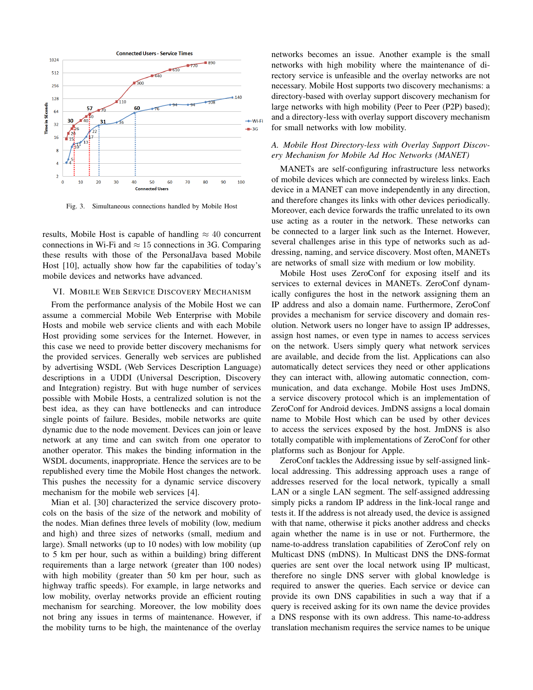

Fig. 3. Simultaneous connections handled by Mobile Host

results, Mobile Host is capable of handling  $\approx 40$  concurrent connections in Wi-Fi and  $\approx$  15 connections in 3G. Comparing these results with those of the PersonalJava based Mobile Host [10], actually show how far the capabilities of today's mobile devices and networks have advanced.

# VI. MOBILE WEB SERVICE DISCOVERY MECHANISM

From the performance analysis of the Mobile Host we can assume a commercial Mobile Web Enterprise with Mobile Hosts and mobile web service clients and with each Mobile Host providing some services for the Internet. However, in this case we need to provide better discovery mechanisms for the provided services. Generally web services are published by advertising WSDL (Web Services Description Language) descriptions in a UDDI (Universal Description, Discovery and Integration) registry. But with huge number of services possible with Mobile Hosts, a centralized solution is not the best idea, as they can have bottlenecks and can introduce single points of failure. Besides, mobile networks are quite dynamic due to the node movement. Devices can join or leave network at any time and can switch from one operator to another operator. This makes the binding information in the WSDL documents, inappropriate. Hence the services are to be republished every time the Mobile Host changes the network. This pushes the necessity for a dynamic service discovery mechanism for the mobile web services [4].

Mian et al. [30] characterized the service discovery protocols on the basis of the size of the network and mobility of the nodes. Mian defines three levels of mobility (low, medium and high) and three sizes of networks (small, medium and large). Small networks (up to 10 nodes) with low mobility (up to 5 km per hour, such as within a building) bring different requirements than a large network (greater than 100 nodes) with high mobility (greater than 50 km per hour, such as highway traffic speeds). For example, in large networks and low mobility, overlay networks provide an efficient routing mechanism for searching. Moreover, the low mobility does not bring any issues in terms of maintenance. However, if the mobility turns to be high, the maintenance of the overlay networks becomes an issue. Another example is the small networks with high mobility where the maintenance of directory service is unfeasible and the overlay networks are not necessary. Mobile Host supports two discovery mechanisms: a directory-based with overlay support discovery mechanism for large networks with high mobility (Peer to Peer (P2P) based); and a directory-less with overlay support discovery mechanism for small networks with low mobility.

# *A. Mobile Host Directory-less with Overlay Support Discovery Mechanism for Mobile Ad Hoc Networks (MANET)*

MANETs are self-configuring infrastructure less networks of mobile devices which are connected by wireless links. Each device in a MANET can move independently in any direction, and therefore changes its links with other devices periodically. Moreover, each device forwards the traffic unrelated to its own use acting as a router in the network. These networks can be connected to a larger link such as the Internet. However, several challenges arise in this type of networks such as addressing, naming, and service discovery. Most often, MANETs are networks of small size with medium or low mobility.

Mobile Host uses ZeroConf for exposing itself and its services to external devices in MANETs. ZeroConf dynamically configures the host in the network assigning them an IP address and also a domain name. Furthermore, ZeroConf provides a mechanism for service discovery and domain resolution. Network users no longer have to assign IP addresses, assign host names, or even type in names to access services on the network. Users simply query what network services are available, and decide from the list. Applications can also automatically detect services they need or other applications they can interact with, allowing automatic connection, communication, and data exchange. Mobile Host uses JmDNS, a service discovery protocol which is an implementation of ZeroConf for Android devices. JmDNS assigns a local domain name to Mobile Host which can be used by other devices to access the services exposed by the host. JmDNS is also totally compatible with implementations of ZeroConf for other platforms such as Bonjour for Apple.

ZeroConf tackles the Addressing issue by self-assigned linklocal addressing. This addressing approach uses a range of addresses reserved for the local network, typically a small LAN or a single LAN segment. The self-assigned addressing simply picks a random IP address in the link-local range and tests it. If the address is not already used, the device is assigned with that name, otherwise it picks another address and checks again whether the name is in use or not. Furthermore, the name-to-address translation capabilities of ZeroConf rely on Multicast DNS (mDNS). In Multicast DNS the DNS-format queries are sent over the local network using IP multicast, therefore no single DNS server with global knowledge is required to answer the queries. Each service or device can provide its own DNS capabilities in such a way that if a query is received asking for its own name the device provides a DNS response with its own address. This name-to-address translation mechanism requires the service names to be unique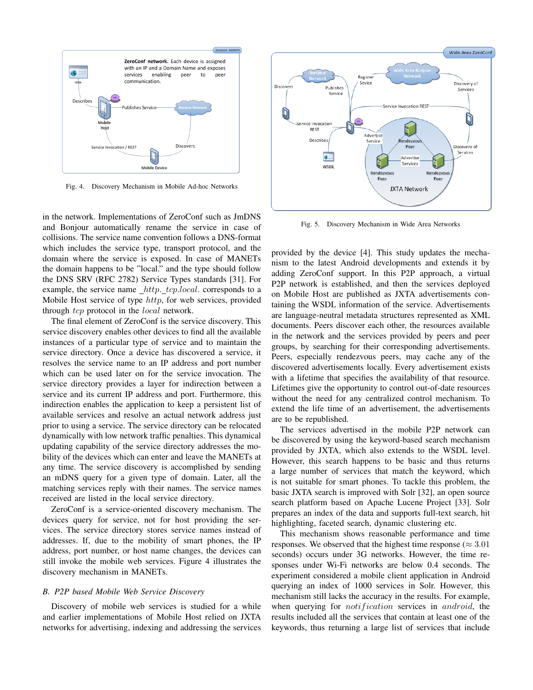

Fig. 4. Discovery Mechanism in Mobile Ad-hoc Networks

in the network. Implementations of ZeroConf such as JmDNS and Bonjour automatically rename the service in case of collisions. The service name convention follows a DNS-format which includes the service type, transport protocol, and the domain where the service is exposed. In case of MANETs the domain happens to be "local." and the type should follow the DNS SRV (RFC 2782) Service Types standards [31]. For example, the service name  $_\textit{http\_\textit{tcp.local.}\text{ corresponds to a}}$ Mobile Host service of type http, for web services, provided through tcp protocol in the *local* network.

The final element of ZeroConf is the service discovery. This service discovery enables other devices to find all the available instances of a particular type of service and to maintain the service directory. Once a device has discovered a service, it resolves the service name to an IP address and port number which can be used later on for the service invocation. The service directory provides a layer for indirection between a service and its current IP address and port. Furthermore, this indirection enables the application to keep a persistent list of available services and resolve an actual network address just prior to using a service. The service directory can be relocated dynamically with low network traffic penalties. This dynamical updating capability of the service directory addresses the mobility of the devices which can enter and leave the MANETs at any time. The service discovery is accomplished by sending an mDNS query for a given type of domain. Later, all the matching services reply with their names. The service names received are listed in the local service directory.

ZeroConf is a service-oriented discovery mechanism. The devices query for service, not for host providing the services. The service directory stores service names instead of addresses. If, due to the mobility of smart phones, the IP address, port number, or host name changes, the devices can still invoke the mobile web services. Figure 4 illustrates the discovery mechanism in MANETs.

#### *B. P2P based Mobile Web Service Discovery*

Discovery of mobile web services is studied for a while and earlier implementations of Mobile Host relied on JXTA networks for advertising, indexing and addressing the services



Fig. 5. Discovery Mechanism in Wide Area Networks

provided by the device [4]. This study updates the mechanism to the latest Android developments and extends it by adding ZeroConf support. In this P2P approach, a virtual P2P network is established, and then the services deployed on Mobile Host are published as JXTA advertisements containing the WSDL information of the service. Advertisements are language-neutral metadata structures represented as XML documents. Peers discover each other, the resources available in the network and the services provided by peers and peer groups, by searching for their corresponding advertisements. Peers, especially rendezvous peers, may cache any of the discovered advertisements locally. Every advertisement exists with a lifetime that specifies the availability of that resource. Lifetimes give the opportunity to control out-of-date resources without the need for any centralized control mechanism. To extend the life time of an advertisement, the advertisements are to be republished.

The services advertised in the mobile P2P network can be discovered by using the keyword-based search mechanism provided by JXTA, which also extends to the WSDL level. However, this search happens to be basic and thus returns a large number of services that match the keyword, which is not suitable for smart phones. To tackle this problem, the basic JXTA search is improved with Solr [32], an open source search platform based on Apache Lucene Project [33]. Solr prepares an index of the data and supports full-text search, hit highlighting, faceted search, dynamic clustering etc.

This mechanism shows reasonable performance and time responses. We observed that the highest time response ( $\approx 3.01$ ) seconds) occurs under 3G networks. However, the time responses under Wi-Fi networks are below 0.4 seconds. The experiment considered a mobile client application in Android querying an index of 1000 services in Solr. However, this mechanism still lacks the accuracy in the results. For example, when querying for *notification* services in *android*, the results included all the services that contain at least one of the keywords, thus returning a large list of services that include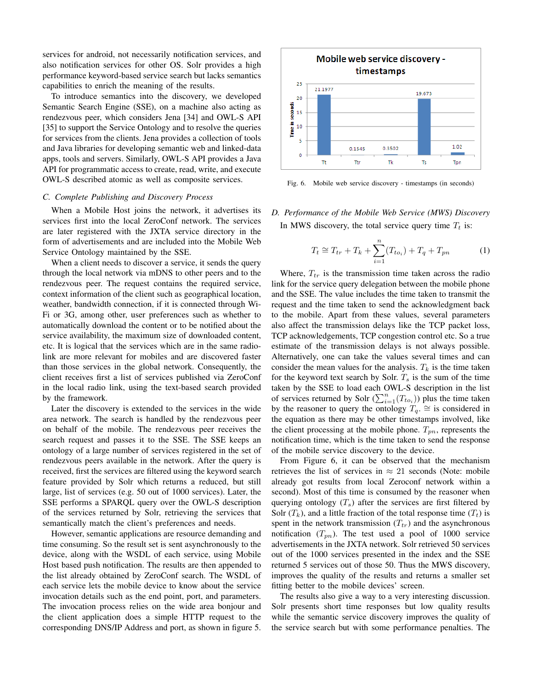services for android, not necessarily notification services, and also notification services for other OS. Solr provides a high performance keyword-based service search but lacks semantics capabilities to enrich the meaning of the results.

To introduce semantics into the discovery, we developed Semantic Search Engine (SSE), on a machine also acting as rendezvous peer, which considers Jena [34] and OWL-S API [35] to support the Service Ontology and to resolve the queries for services from the clients. Jena provides a collection of tools and Java libraries for developing semantic web and linked-data apps, tools and servers. Similarly, OWL-S API provides a Java API for programmatic access to create, read, write, and execute OWL-S described atomic as well as composite services.

#### *C. Complete Publishing and Discovery Process*

When a Mobile Host joins the network, it advertises its services first into the local ZeroConf network. The services are later registered with the JXTA service directory in the form of advertisements and are included into the Mobile Web Service Ontology maintained by the SSE.

When a client needs to discover a service, it sends the query through the local network via mDNS to other peers and to the rendezvous peer. The request contains the required service, context information of the client such as geographical location, weather, bandwidth connection, if it is connected through Wi-Fi or 3G, among other, user preferences such as whether to automatically download the content or to be notified about the service availability, the maximum size of downloaded content, etc. It is logical that the services which are in the same radiolink are more relevant for mobiles and are discovered faster than those services in the global network. Consequently, the client receives first a list of services published via ZeroConf in the local radio link, using the text-based search provided by the framework.

Later the discovery is extended to the services in the wide area network. The search is handled by the rendezvous peer on behalf of the mobile. The rendezvous peer receives the search request and passes it to the SSE. The SSE keeps an ontology of a large number of services registered in the set of rendezvous peers available in the network. After the query is received, first the services are filtered using the keyword search feature provided by Solr which returns a reduced, but still large, list of services (e.g. 50 out of 1000 services). Later, the SSE performs a SPARQL query over the OWL-S description of the services returned by Solr, retrieving the services that semantically match the client's preferences and needs.

However, semantic applications are resource demanding and time consuming. So the result set is sent asynchronously to the device, along with the WSDL of each service, using Mobile Host based push notification. The results are then appended to the list already obtained by ZeroConf search. The WSDL of each service lets the mobile device to know about the service invocation details such as the end point, port, and parameters. The invocation process relies on the wide area bonjour and the client application does a simple HTTP request to the corresponding DNS/IP Address and port, as shown in figure 5.



Fig. 6. Mobile web service discovery - timestamps (in seconds)

*D. Performance of the Mobile Web Service (MWS) Discovery* In MWS discovery, the total service query time  $T_t$  is:

$$
T_t \cong T_{tr} + T_k + \sum_{i=1}^n (T_{to_i}) + T_q + T_{pn}
$$
 (1)

Where,  $T_{tr}$  is the transmission time taken across the radio link for the service query delegation between the mobile phone and the SSE. The value includes the time taken to transmit the request and the time taken to send the acknowledgment back to the mobile. Apart from these values, several parameters also affect the transmission delays like the TCP packet loss, TCP acknowledgements, TCP congestion control etc. So a true estimate of the transmission delays is not always possible. Alternatively, one can take the values several times and can consider the mean values for the analysis.  $T_k$  is the time taken for the keyword text search by Solr.  $T_s$  is the sum of the time taken by the SSE to load each OWL-S description in the list of services returned by Solr  $(\sum_{i=1}^n (T_{to_i}))$  plus the time taken by the reasoner to query the ontology  $T_q$ . ≅ is considered in the equation as there may be other timestamps involved, like the client processing at the mobile phone.  $T_{pn}$ , represents the notification time, which is the time taken to send the response of the mobile service discovery to the device.

From Figure 6, it can be observed that the mechanism retrieves the list of services in  $\approx 21$  seconds (Note: mobile already got results from local Zeroconf network within a second). Most of this time is consumed by the reasoner when querying ontology  $(T_s)$  after the services are first filtered by Solr  $(T_k)$ , and a little fraction of the total response time  $(T_t)$  is spent in the network transmission  $(T_{tr})$  and the asynchronous notification  $(T_{pn})$ . The test used a pool of 1000 service advertisements in the JXTA network. Solr retrieved 50 services out of the 1000 services presented in the index and the SSE returned 5 services out of those 50. Thus the MWS discovery, improves the quality of the results and returns a smaller set fitting better to the mobile devices' screen.

The results also give a way to a very interesting discussion. Solr presents short time responses but low quality results while the semantic service discovery improves the quality of the service search but with some performance penalties. The